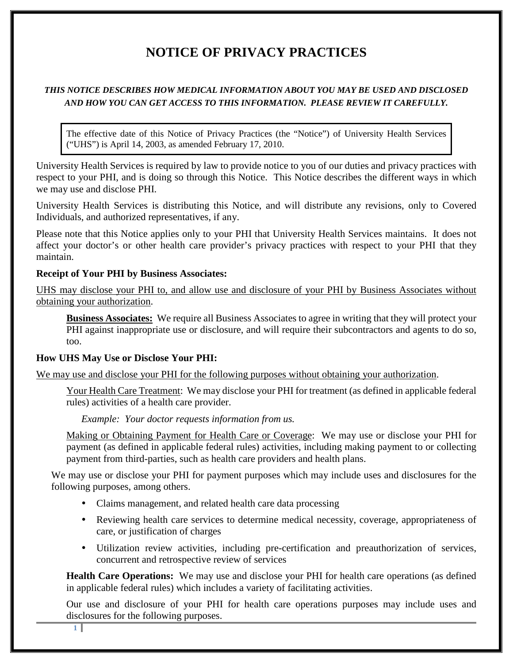# **NOTICE OF PRIVACY PRACTICES**

# *THIS NOTICE DESCRIBES HOW MEDICAL INFORMATION ABOUT YOU MAY BE USED AND DISCLOSED AND HOW YOU CAN GET ACCESS TO THIS INFORMATION. PLEASE REVIEW IT CAREFULLY.*

The effective date of this Notice of Privacy Practices (the "Notice") of University Health Services ("UHS") is April 14, 2003, as amended February 17, 2010.

University Health Services is required by law to provide notice to you of our duties and privacy practices with respect to your PHI, and is doing so through this Notice. This Notice describes the different ways in which we may use and disclose PHI.

University Health Services is distributing this Notice, and will distribute any revisions, only to Covered Individuals, and authorized representatives, if any.

Please note that this Notice applies only to your PHI that University Health Services maintains. It does not affect your doctor's or other health care provider's privacy practices with respect to your PHI that they maintain.

# **Receipt of Your PHI by Business Associates:**

UHS may disclose your PHI to, and allow use and disclosure of your PHI by Business Associates without obtaining your authorization.

**Business Associates:** We require all Business Associates to agree in writing that they will protect your PHI against inappropriate use or disclosure, and will require their subcontractors and agents to do so, too.

# **How UHS May Use or Disclose Your PHI:**

We may use and disclose your PHI for the following purposes without obtaining your authorization.

Your Health Care Treatment: We may disclose your PHI for treatment (as defined in applicable federal rules) activities of a health care provider.

*Example: Your doctor requests information from us.*

Making or Obtaining Payment for Health Care or Coverage: We may use or disclose your PHI for payment (as defined in applicable federal rules) activities, including making payment to or collecting payment from third-parties, such as health care providers and health plans.

We may use or disclose your PHI for payment purposes which may include uses and disclosures for the following purposes, among others.

- Claims management, and related health care data processing
- Reviewing health care services to determine medical necessity, coverage, appropriateness of care, or justification of charges
- Utilization review activities, including pre-certification and preauthorization of services, concurrent and retrospective review of services

**Health Care Operations:** We may use and disclose your PHI for health care operations (as defined in applicable federal rules) which includes a variety of facilitating activities.

Our use and disclosure of your PHI for health care operations purposes may include uses and disclosures for the following purposes.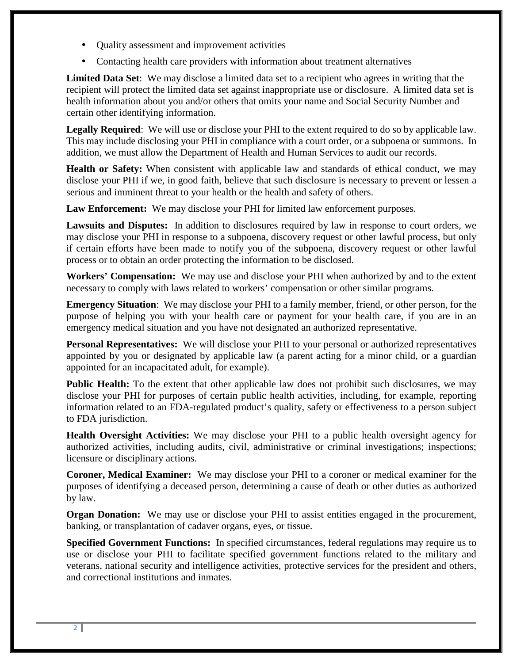- Quality assessment and improvement activities
- Contacting health care providers with information about treatment alternatives

**Limited Data Set**: We may disclose a limited data set to a recipient who agrees in writing that the recipient will protect the limited data set against inappropriate use or disclosure. A limited data set is health information about you and/or others that omits your name and Social Security Number and certain other identifying information.

**Legally Required**: We will use or disclose your PHI to the extent required to do so by applicable law. This may include disclosing your PHI in compliance with a court order, or a subpoena or summons. In addition, we must allow the Department of Health and Human Services to audit our records.

**Health or Safety:** When consistent with applicable law and standards of ethical conduct, we may disclose your PHI if we, in good faith, believe that such disclosure is necessary to prevent or lessen a serious and imminent threat to your health or the health and safety of others.

**Law Enforcement:** We may disclose your PHI for limited law enforcement purposes.

**Lawsuits and Disputes:** In addition to disclosures required by law in response to court orders, we may disclose your PHI in response to a subpoena, discovery request or other lawful process, but only if certain efforts have been made to notify you of the subpoena, discovery request or other lawful process or to obtain an order protecting the information to be disclosed.

**Workers' Compensation:** We may use and disclose your PHI when authorized by and to the extent necessary to comply with laws related to workers' compensation or other similar programs.

**Emergency Situation**: We may disclose your PHI to a family member, friend, or other person, for the purpose of helping you with your health care or payment for your health care, if you are in an emergency medical situation and you have not designated an authorized representative.

**Personal Representatives:** We will disclose your PHI to your personal or authorized representatives appointed by you or designated by applicable law (a parent acting for a minor child, or a guardian appointed for an incapacitated adult, for example).

**Public Health:** To the extent that other applicable law does not prohibit such disclosures, we may disclose your PHI for purposes of certain public health activities, including, for example, reporting information related to an FDA-regulated product's quality, safety or effectiveness to a person subject to FDA jurisdiction.

**Health Oversight Activities:** We may disclose your PHI to a public health oversight agency for authorized activities, including audits, civil, administrative or criminal investigations; inspections; licensure or disciplinary actions.

**Coroner, Medical Examiner:** We may disclose your PHI to a coroner or medical examiner for the purposes of identifying a deceased person, determining a cause of death or other duties as authorized by law.

**Organ Donation:** We may use or disclose your PHI to assist entities engaged in the procurement, banking, or transplantation of cadaver organs, eyes, or tissue.

**Specified Government Functions:** In specified circumstances, federal regulations may require us to use or disclose your PHI to facilitate specified government functions related to the military and veterans, national security and intelligence activities, protective services for the president and others, and correctional institutions and inmates.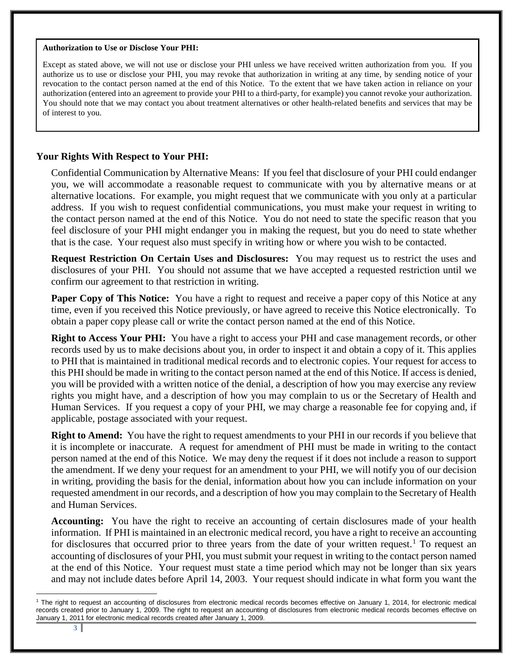#### **Authorization to Use or Disclose Your PHI:**

Except as stated above, we will not use or disclose your PHI unless we have received written authorization from you. If you authorize us to use or disclose your PHI, you may revoke that authorization in writing at any time, by sending notice of your revocation to the contact person named at the end of this Notice. To the extent that we have taken action in reliance on your authorization (entered into an agreement to provide your PHI to a third-party, for example) you cannot revoke your authorization. You should note that we may contact you about treatment alternatives or other health-related benefits and services that may be of interest to you.

### **Your Rights With Respect to Your PHI:**

Confidential Communication by Alternative Means: If you feel that disclosure of your PHI could endanger you, we will accommodate a reasonable request to communicate with you by alternative means or at alternative locations. For example, you might request that we communicate with you only at a particular address. If you wish to request confidential communications, you must make your request in writing to the contact person named at the end of this Notice. You do not need to state the specific reason that you feel disclosure of your PHI might endanger you in making the request, but you do need to state whether that is the case. Your request also must specify in writing how or where you wish to be contacted.

**Request Restriction On Certain Uses and Disclosures:** You may request us to restrict the uses and disclosures of your PHI. You should not assume that we have accepted a requested restriction until we confirm our agreement to that restriction in writing.

**Paper Copy of This Notice:** You have a right to request and receive a paper copy of this Notice at any time, even if you received this Notice previously, or have agreed to receive this Notice electronically. To obtain a paper copy please call or write the contact person named at the end of this Notice.

**Right to Access Your PHI:** You have a right to access your PHI and case management records, or other records used by us to make decisions about you, in order to inspect it and obtain a copy of it. This applies to PHI that is maintained in traditional medical records and to electronic copies. Your request for access to this PHI should be made in writing to the contact person named at the end of this Notice. If access is denied, you will be provided with a written notice of the denial, a description of how you may exercise any review rights you might have, and a description of how you may complain to us or the Secretary of Health and Human Services. If you request a copy of your PHI, we may charge a reasonable fee for copying and, if applicable, postage associated with your request.

**Right to Amend:** You have the right to request amendments to your PHI in our records if you believe that it is incomplete or inaccurate. A request for amendment of PHI must be made in writing to the contact person named at the end of this Notice. We may deny the request if it does not include a reason to support the amendment. If we deny your request for an amendment to your PHI, we will notify you of our decision in writing, providing the basis for the denial, information about how you can include information on your requested amendment in our records, and a description of how you may complain to the Secretary of Health and Human Services.

**Accounting:** You have the right to receive an accounting of certain disclosures made of your health information. If PHI is maintained in an electronic medical record, you have a right to receive an accounting for disclosures that occurred prior to three years from the date of your written request.<sup>[1](#page-2-0)</sup> To request an accounting of disclosures of your PHI, you must submit your request in writing to the contact person named at the end of this Notice. Your request must state a time period which may not be longer than six years and may not include dates before April 14, 2003. Your request should indicate in what form you want the

<span id="page-2-0"></span> $\overline{a}$ <sup>1</sup> The right to request an accounting of disclosures from electronic medical records becomes effective on January 1, 2014, for electronic medical records created prior to January 1, 2009. The right to request an accounting of disclosures from electronic medical records becomes effective on January 1, 2011 for electronic medical records created after January 1, 2009.